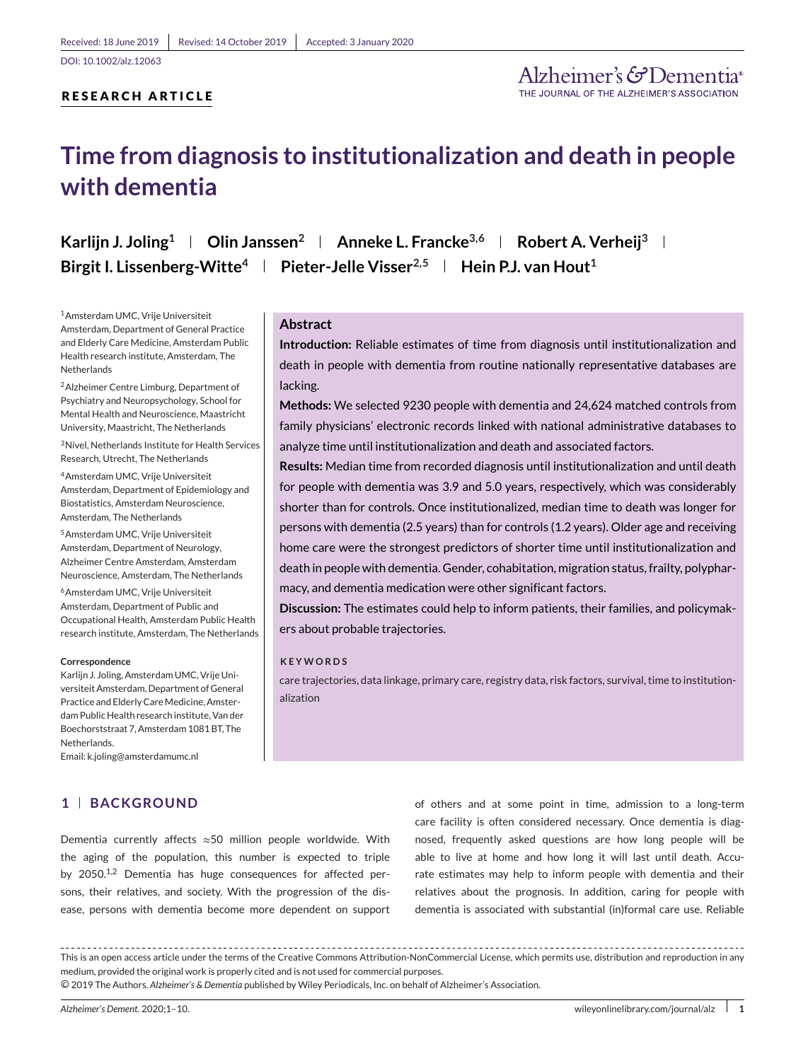## **RESEARCH ARTICLE**

# **Time from diagnosis to institutionalization and death in people with dementia**

**Karlijn J. Joling<sup>1</sup> | Olin Janssen<sup>2</sup> | Anneke L. Francke<sup>3,6</sup> | Robert A. Verheij<sup>3</sup> | Birgit I. Lissenberg-Witte<sup>4</sup> | Pieter-Jelle Visser<sup>2,5</sup> | Hein P.J. van Hout<sup>1</sup>** 

1Amsterdam UMC, Vrije Universiteit Amsterdam, Department of General Practice and Elderly Care Medicine, Amsterdam Public Health research institute, Amsterdam, The **Netherlands** 

2Alzheimer Centre Limburg, Department of Psychiatry and Neuropsychology, School for Mental Health and Neuroscience, Maastricht University, Maastricht, The Netherlands

3Nivel, Netherlands Institute for Health Services Research, Utrecht, The Netherlands

4Amsterdam UMC, Vrije Universiteit Amsterdam, Department of Epidemiology and Biostatistics, Amsterdam Neuroscience, Amsterdam, The Netherlands

5Amsterdam UMC, Vrije Universiteit Amsterdam, Department of Neurology, Alzheimer Centre Amsterdam, Amsterdam Neuroscience, Amsterdam, The Netherlands

6Amsterdam UMC, Vrije Universiteit Amsterdam, Department of Public and Occupational Health, Amsterdam Public Health research institute, Amsterdam, The Netherlands

#### **Correspondence**

Karlijn J. Joling, Amsterdam UMC, Vrije Universiteit Amsterdam, Department of General Practice and Elderly Care Medicine, Amsterdam Public Health research institute, Van der Boechorststraat 7, Amsterdam 1081 BT, The **Netherlands** 

Email: k.joling@amsterdamumc.nl

## **1 BACKGROUND**

#### **Abstract**

**Introduction:** Reliable estimates of time from diagnosis until institutionalization and death in people with dementia from routine nationally representative databases are lacking.

**Methods:** We selected 9230 people with dementia and 24,624 matched controls from family physicians' electronic records linked with national administrative databases to analyze time until institutionalization and death and associated factors.

**Results:** Median time from recorded diagnosis until institutionalization and until death for people with dementia was 3.9 and 5.0 years, respectively, which was considerably shorter than for controls. Once institutionalized, median time to death was longer for persons with dementia (2.5 years) than for controls (1.2 years). Older age and receiving home care were the strongest predictors of shorter time until institutionalization and death in people with dementia. Gender, cohabitation, migration status, frailty, polypharmacy, and dementia medication were other significant factors.

**Discussion:** The estimates could help to inform patients, their families, and policymakers about probable trajectories.

#### **KEYWORDS**

care trajectories, data linkage, primary care, registry data, risk factors, survival, time to institutionalization

Dementia currently affects ≈50 million people worldwide. With the aging of the population, this number is expected to triple by  $2050^{1,2}$  Dementia has huge consequences for affected persons, their relatives, and society. With the progression of the disease, persons with dementia become more dependent on support of others and at some point in time, admission to a long-term care facility is often considered necessary. Once dementia is diagnosed, frequently asked questions are how long people will be able to live at home and how long it will last until death. Accurate estimates may help to inform people with dementia and their relatives about the prognosis. In addition, caring for people with dementia is associated with substantial (in)formal care use. Reliable

○c 2019 The Authors. *Alzheimer's & Dementia* published by Wiley Periodicals, Inc. on behalf of Alzheimer's Association.

This is an open access article under the terms of the [Creative Commons Attribution-NonCommercial](http://creativecommons.org/licenses/by-nc/4.0/) License, which permits use, distribution and reproduction in any medium, provided the original work is properly cited and is not used for commercial purposes.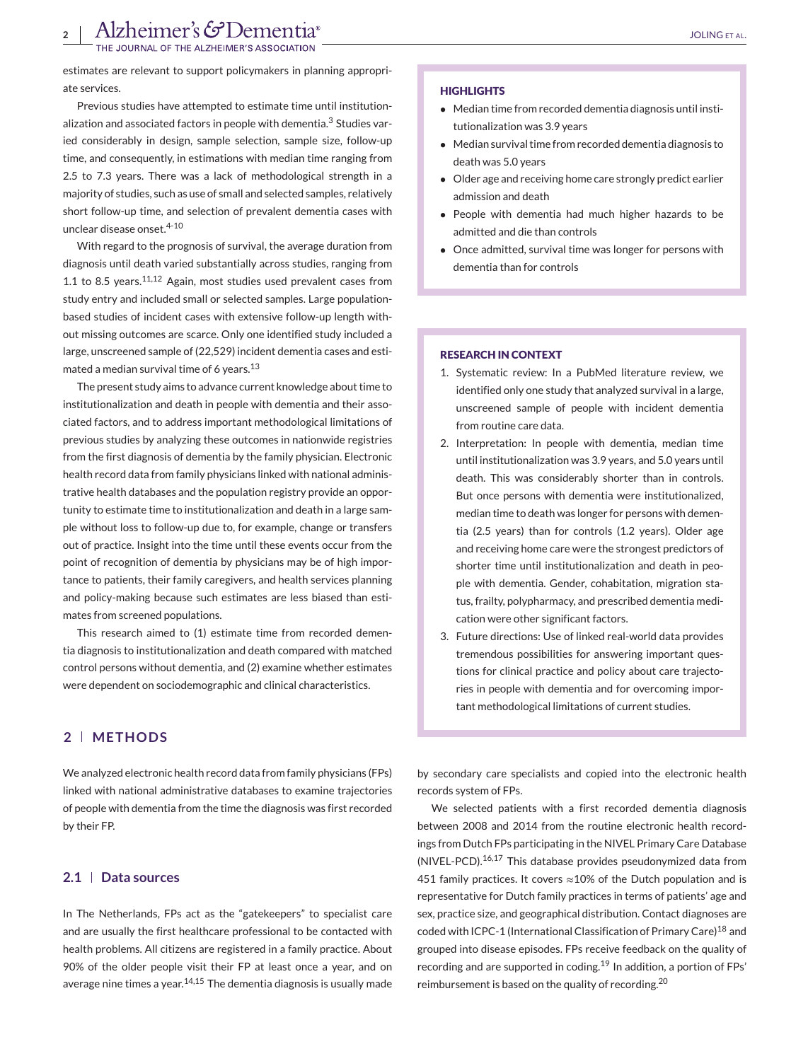estimates are relevant to support policymakers in planning appropriate services.

Previous studies have attempted to estimate time until institutionalization and associated factors in people with dementia.<sup>3</sup> Studies varied considerably in design, sample selection, sample size, follow-up time, and consequently, in estimations with median time ranging from 2.5 to 7.3 years. There was a lack of methodological strength in a majority of studies, such as use of small and selected samples, relatively short follow-up time, and selection of prevalent dementia cases with unclear disease onset.<sup>4-10</sup>

With regard to the prognosis of survival, the average duration from diagnosis until death varied substantially across studies, ranging from 1.1 to 8.5 years.11,12 Again, most studies used prevalent cases from study entry and included small or selected samples. Large populationbased studies of incident cases with extensive follow-up length without missing outcomes are scarce. Only one identified study included a large, unscreened sample of (22,529) incident dementia cases and estimated a median survival time of 6 years.<sup>13</sup>

The present study aims to advance current knowledge about time to institutionalization and death in people with dementia and their associated factors, and to address important methodological limitations of previous studies by analyzing these outcomes in nationwide registries from the first diagnosis of dementia by the family physician. Electronic health record data from family physicians linked with national administrative health databases and the population registry provide an opportunity to estimate time to institutionalization and death in a large sample without loss to follow-up due to, for example, change or transfers out of practice. Insight into the time until these events occur from the point of recognition of dementia by physicians may be of high importance to patients, their family caregivers, and health services planning and policy-making because such estimates are less biased than estimates from screened populations.

This research aimed to (1) estimate time from recorded dementia diagnosis to institutionalization and death compared with matched control persons without dementia, and (2) examine whether estimates were dependent on sociodemographic and clinical characteristics.

## **2 METHODS**

We analyzed electronic health record data from family physicians (FPs) linked with national administrative databases to examine trajectories of people with dementia from the time the diagnosis was first recorded by their FP.

#### **2.1 Data sources**

In The Netherlands, FPs act as the "gatekeepers" to specialist care and are usually the first healthcare professional to be contacted with health problems. All citizens are registered in a family practice. About 90% of the older people visit their FP at least once a year, and on average nine times a year. $14,15$  The dementia diagnosis is usually made

#### **HIGHLIGHTS**

- Median time from recorded dementia diagnosis until institutionalization was 3.9 years
- Median survival time from recorded dementia diagnosis to death was 5.0 years
- Older age and receiving home care strongly predict earlier admission and death
- People with dementia had much higher hazards to be admitted and die than controls
- Once admitted, survival time was longer for persons with dementia than for controls

#### **RESEARCH IN CONTEXT**

- 1. Systematic review: In a PubMed literature review, we identified only one study that analyzed survival in a large, unscreened sample of people with incident dementia from routine care data.
- 2. Interpretation: In people with dementia, median time until institutionalization was 3.9 years, and 5.0 years until death. This was considerably shorter than in controls. But once persons with dementia were institutionalized, median time to death was longer for persons with dementia (2.5 years) than for controls (1.2 years). Older age and receiving home care were the strongest predictors of shorter time until institutionalization and death in people with dementia. Gender, cohabitation, migration status, frailty, polypharmacy, and prescribed dementia medication were other significant factors.
- 3. Future directions: Use of linked real-world data provides tremendous possibilities for answering important questions for clinical practice and policy about care trajectories in people with dementia and for overcoming important methodological limitations of current studies.

by secondary care specialists and copied into the electronic health records system of FPs.

We selected patients with a first recorded dementia diagnosis between 2008 and 2014 from the routine electronic health recordings from Dutch FPs participating in the NIVEL Primary Care Database (NIVEL-PCD).16,17 This database provides pseudonymized data from 451 family practices. It covers  $\approx$  10% of the Dutch population and is representative for Dutch family practices in terms of patients' age and sex, practice size, and geographical distribution. Contact diagnoses are coded with ICPC-1 (International Classification of Primary Care)<sup>18</sup> and grouped into disease episodes. FPs receive feedback on the quality of recording and are supported in coding.<sup>19</sup> In addition, a portion of FPs' reimbursement is based on the quality of recording.<sup>20</sup>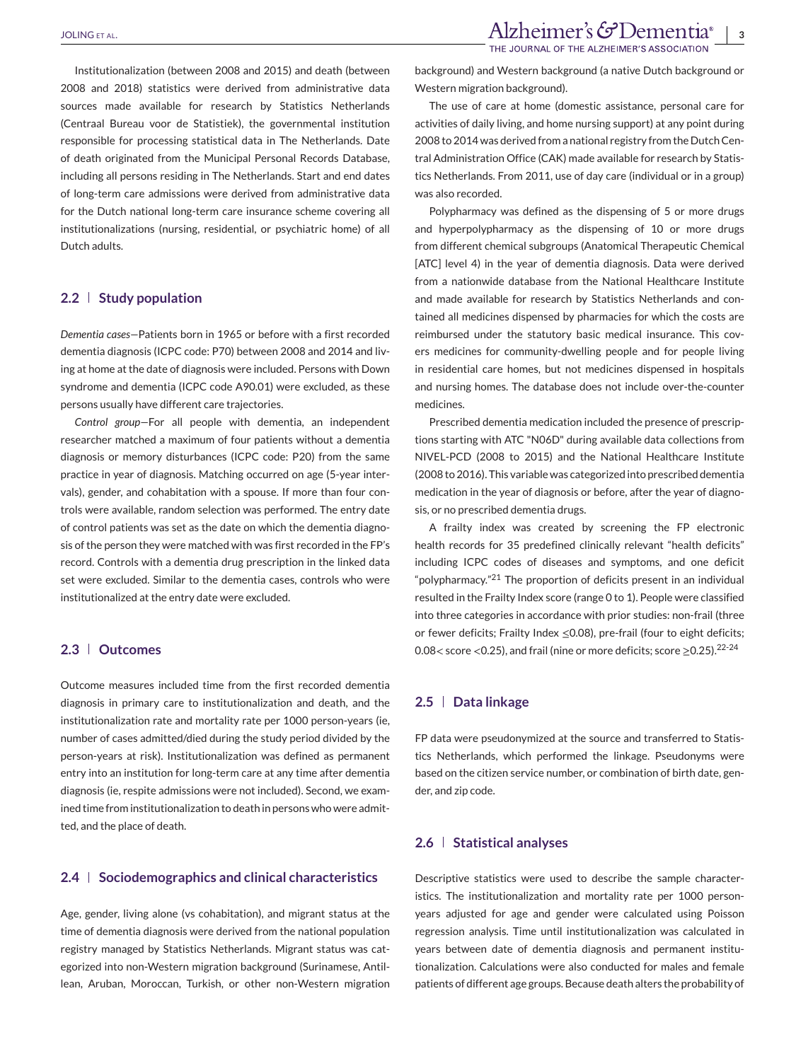background) and Western background (a native Dutch background or Western migration background).

The use of care at home (domestic assistance, personal care for activities of daily living, and home nursing support) at any point during 2008 to 2014 was derived from a national registry from the Dutch Central Administration Office (CAK) made available for research by Statistics Netherlands. From 2011, use of day care (individual or in a group) was also recorded.

Polypharmacy was defined as the dispensing of 5 or more drugs and hyperpolypharmacy as the dispensing of 10 or more drugs from different chemical subgroups (Anatomical Therapeutic Chemical [ATC] level 4) in the year of dementia diagnosis. Data were derived from a nationwide database from the National Healthcare Institute and made available for research by Statistics Netherlands and contained all medicines dispensed by pharmacies for which the costs are reimbursed under the statutory basic medical insurance. This covers medicines for community-dwelling people and for people living in residential care homes, but not medicines dispensed in hospitals and nursing homes. The database does not include over-the-counter medicines.

Prescribed dementia medication included the presence of prescriptions starting with ATC "N06D" during available data collections from NIVEL-PCD (2008 to 2015) and the National Healthcare Institute (2008 to 2016). This variable was categorized into prescribed dementia medication in the year of diagnosis or before, after the year of diagnosis, or no prescribed dementia drugs.

A frailty index was created by screening the FP electronic health records for 35 predefined clinically relevant "health deficits" including ICPC codes of diseases and symptoms, and one deficit "polypharmacy."<sup>21</sup> The proportion of deficits present in an individual resulted in the Frailty Index score (range 0 to 1). People were classified into three categories in accordance with prior studies: non-frail (three or fewer deficits; Frailty Index ≤0.08), pre-frail (four to eight deficits; 0.08< score <0.25), and frail (nine or more deficits; score ≥0.25).22-24

### **2.5 Data linkage**

FP data were pseudonymized at the source and transferred to Statistics Netherlands, which performed the linkage. Pseudonyms were based on the citizen service number, or combination of birth date, gender, and zip code.

### **2.6 Statistical analyses**

Descriptive statistics were used to describe the sample characteristics. The institutionalization and mortality rate per 1000 personyears adjusted for age and gender were calculated using Poisson regression analysis. Time until institutionalization was calculated in years between date of dementia diagnosis and permanent institutionalization. Calculations were also conducted for males and female patients of different age groups. Because death alters the probability of

Institutionalization (between 2008 and 2015) and death (between 2008 and 2018) statistics were derived from administrative data sources made available for research by Statistics Netherlands (Centraal Bureau voor de Statistiek), the governmental institution responsible for processing statistical data in The Netherlands. Date of death originated from the Municipal Personal Records Database, including all persons residing in The Netherlands. Start and end dates of long-term care admissions were derived from administrative data for the Dutch national long-term care insurance scheme covering all institutionalizations (nursing, residential, or psychiatric home) of all Dutch adults.

#### **2.2 Study population**

*Dementia cases—*Patients born in 1965 or before with a first recorded dementia diagnosis (ICPC code: P70) between 2008 and 2014 and living at home at the date of diagnosis were included. Persons with Down syndrome and dementia (ICPC code A90.01) were excluded, as these persons usually have different care trajectories.

*Control group—*For all people with dementia, an independent researcher matched a maximum of four patients without a dementia diagnosis or memory disturbances (ICPC code: P20) from the same practice in year of diagnosis. Matching occurred on age (5-year intervals), gender, and cohabitation with a spouse. If more than four controls were available, random selection was performed. The entry date of control patients was set as the date on which the dementia diagnosis of the person they were matched with was first recorded in the FP's record. Controls with a dementia drug prescription in the linked data set were excluded. Similar to the dementia cases, controls who were institutionalized at the entry date were excluded.

#### **2.3 Outcomes**

Outcome measures included time from the first recorded dementia diagnosis in primary care to institutionalization and death, and the institutionalization rate and mortality rate per 1000 person-years (ie, number of cases admitted/died during the study period divided by the person-years at risk). Institutionalization was defined as permanent entry into an institution for long-term care at any time after dementia diagnosis (ie, respite admissions were not included). Second, we examined time from institutionalization to death in persons who were admitted, and the place of death.

## **2.4 Sociodemographics and clinical characteristics**

Age, gender, living alone (vs cohabitation), and migrant status at the time of dementia diagnosis were derived from the national population registry managed by Statistics Netherlands. Migrant status was categorized into non-Western migration background (Surinamese, Antillean, Aruban, Moroccan, Turkish, or other non-Western migration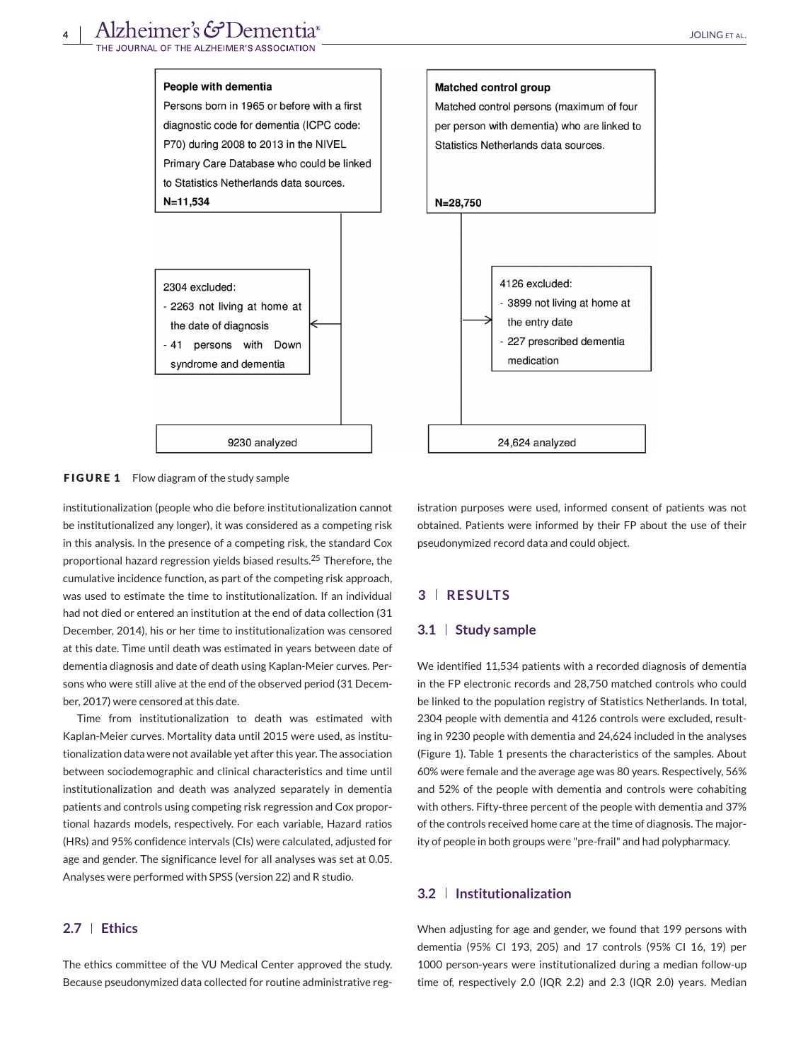

**FIGURE 1** Flow diagram of the study sample

institutionalization (people who die before institutionalization cannot be institutionalized any longer), it was considered as a competing risk in this analysis. In the presence of a competing risk, the standard Cox proportional hazard regression yields biased results.<sup>25</sup> Therefore, the cumulative incidence function, as part of the competing risk approach, was used to estimate the time to institutionalization. If an individual had not died or entered an institution at the end of data collection (31 December, 2014), his or her time to institutionalization was censored at this date. Time until death was estimated in years between date of dementia diagnosis and date of death using Kaplan-Meier curves. Persons who were still alive at the end of the observed period (31 December, 2017) were censored at this date.

Time from institutionalization to death was estimated with Kaplan-Meier curves. Mortality data until 2015 were used, as institutionalization data were not available yet after this year. The association between sociodemographic and clinical characteristics and time until institutionalization and death was analyzed separately in dementia patients and controls using competing risk regression and Cox proportional hazards models, respectively. For each variable, Hazard ratios (HRs) and 95% confidence intervals (CIs) were calculated, adjusted for age and gender. The significance level for all analyses was set at 0.05. Analyses were performed with SPSS (version 22) and R studio.

### **2.7 Ethics**

The ethics committee of the VU Medical Center approved the study. Because pseudonymized data collected for routine administrative reg-

istration purposes were used, informed consent of patients was not obtained. Patients were informed by their FP about the use of their pseudonymized record data and could object.

## **3 RESULTS**

#### **3.1 Study sample**

We identified 11,534 patients with a recorded diagnosis of dementia in the FP electronic records and 28,750 matched controls who could be linked to the population registry of Statistics Netherlands. In total, 2304 people with dementia and 4126 controls were excluded, resulting in 9230 people with dementia and 24,624 included in the analyses (Figure 1). Table 1 presents the characteristics of the samples. About 60% were female and the average age was 80 years. Respectively, 56% and 52% of the people with dementia and controls were cohabiting with others. Fifty-three percent of the people with dementia and 37% of the controls received home care at the time of diagnosis. The majority of people in both groups were "pre-frail" and had polypharmacy.

#### **3.2 Institutionalization**

When adjusting for age and gender, we found that 199 persons with dementia (95% CI 193, 205) and 17 controls (95% CI 16, 19) per 1000 person-years were institutionalized during a median follow-up time of, respectively 2.0 (IQR 2.2) and 2.3 (IQR 2.0) years. Median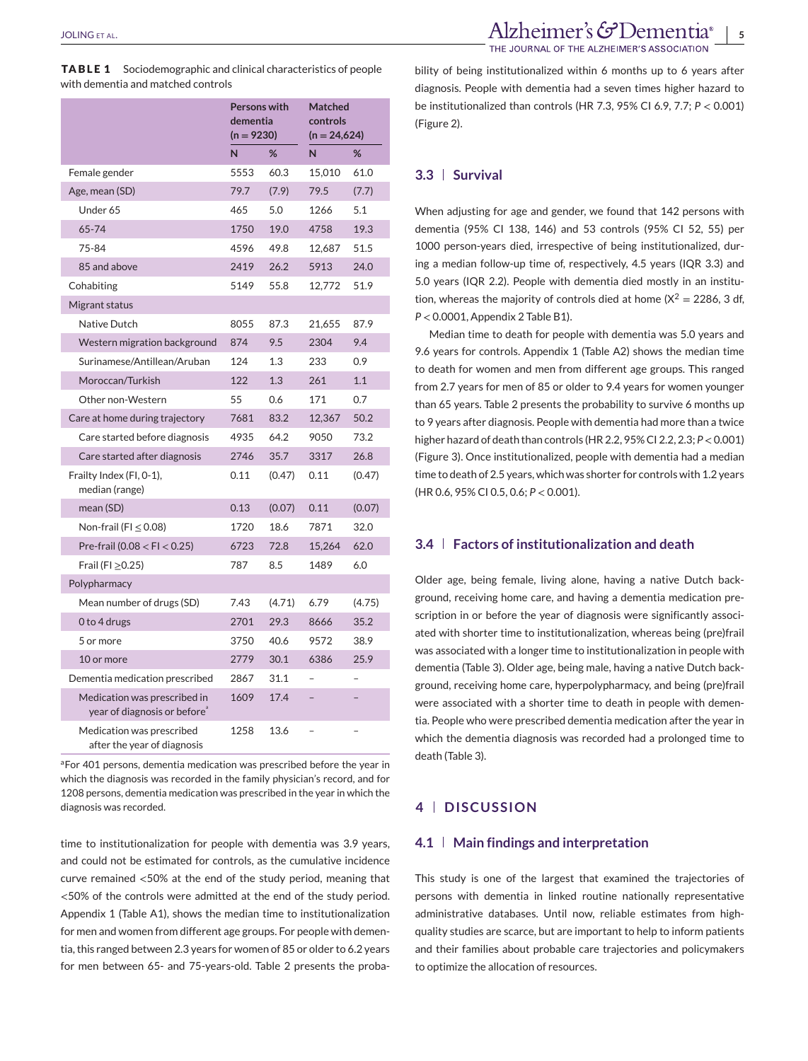|                                                                          | <b>Persons with</b><br>dementia<br>$(n = 9230)$ |        | <b>Matched</b><br>controls<br>$(n = 24,624)$ |        |
|--------------------------------------------------------------------------|-------------------------------------------------|--------|----------------------------------------------|--------|
|                                                                          | N                                               | %      | N                                            | %      |
| Female gender                                                            | 5553                                            | 60.3   | 15,010                                       | 61.0   |
| Age, mean (SD)                                                           | 79.7                                            | (7.9)  | 79.5                                         | (7.7)  |
| Under 65                                                                 | 465                                             | 5.0    | 1266                                         | 5.1    |
| 65-74                                                                    | 1750                                            | 19.0   | 4758                                         | 19.3   |
| 75-84                                                                    | 4596                                            | 49.8   | 12,687                                       | 51.5   |
| 85 and above                                                             | 2419                                            | 26.2   | 5913                                         | 24.0   |
| Cohabiting                                                               | 5149                                            | 55.8   | 12,772                                       | 51.9   |
| Migrant status                                                           |                                                 |        |                                              |        |
| Native Dutch                                                             | 8055                                            | 87.3   | 21,655                                       | 87.9   |
| Western migration background                                             | 874                                             | 9.5    | 2304                                         | 9.4    |
| Surinamese/Antillean/Aruban                                              | 124                                             | 1.3    | 233                                          | 0.9    |
| Moroccan/Turkish                                                         | 122                                             | 1.3    | 261                                          | 1.1    |
| Other non-Western                                                        | 55                                              | 0.6    | 171                                          | 0.7    |
| Care at home during trajectory                                           | 7681                                            | 83.2   | 12,367                                       | 50.2   |
| Care started before diagnosis                                            | 4935                                            | 64.2   | 9050                                         | 73.2   |
| Care started after diagnosis                                             | 2746                                            | 35.7   | 3317                                         | 26.8   |
| Frailty Index (FI, 0-1),<br>median (range)                               | 0.11                                            | (0.47) | 0.11                                         | (0.47) |
| mean (SD)                                                                | 0.13                                            | (0.07) | 0.11                                         | (0.07) |
| Non-frail (FI $\leq$ 0.08)                                               | 1720                                            | 18.6   | 7871                                         | 32.0   |
| Pre-frail (0.08 $<$ FI $<$ 0.25)                                         | 6723                                            | 72.8   | 15.264                                       | 62.0   |
| Frail (FI $\geq$ 0.25)                                                   | 787                                             | 8.5    | 1489                                         | 6.0    |
| Polypharmacy                                                             |                                                 |        |                                              |        |
| Mean number of drugs (SD)                                                | 7.43                                            | (4.71) | 6.79                                         | (4.75) |
| 0 to 4 drugs                                                             | 2701                                            | 29.3   | 8666                                         | 35.2   |
| 5 or more                                                                | 3750                                            | 40.6   | 9572                                         | 38.9   |
| 10 or more                                                               | 2779                                            | 30.1   | 6386                                         | 25.9   |
| Dementia medication prescribed                                           | 2867                                            | 31.1   | $\overline{a}$                               |        |
| Medication was prescribed in<br>year of diagnosis or before <sup>®</sup> | 1609                                            | 17.4   | $\overline{a}$                               |        |
| Medication was prescribed<br>after the year of diagnosis                 | 1258                                            | 13.6   |                                              |        |

aFor 401 persons, dementia medication was prescribed before the year in which the diagnosis was recorded in the family physician's record, and for 1208 persons, dementia medication was prescribed in the year in which the diagnosis was recorded.

time to institutionalization for people with dementia was 3.9 years, and could not be estimated for controls, as the cumulative incidence curve remained <50% at the end of the study period, meaning that <50% of the controls were admitted at the end of the study period. Appendix 1 (Table A1), shows the median time to institutionalization for men and women from different age groups. For people with dementia, this ranged between 2.3 years for women of 85 or older to 6.2 years for men between 65- and 75-years-old. Table 2 presents the proba-

bility of being institutionalized within 6 months up to 6 years after diagnosis. People with dementia had a seven times higher hazard to be institutionalized than controls (HR 7.3, 95% CI 6.9, 7.7; *P* < 0.001) (Figure 2).

#### **3.3 Survival**

When adjusting for age and gender, we found that 142 persons with dementia (95% CI 138, 146) and 53 controls (95% CI 52, 55) per 1000 person-years died, irrespective of being institutionalized, during a median follow-up time of, respectively, 4.5 years (IQR 3.3) and 5.0 years (IQR 2.2). People with dementia died mostly in an institution, whereas the majority of controls died at home  $(X^2 = 2286, 3 \text{ df},$ *P* < 0.0001, Appendix 2 Table B1).

Median time to death for people with dementia was 5.0 years and 9.6 years for controls. Appendix 1 (Table A2) shows the median time to death for women and men from different age groups. This ranged from 2.7 years for men of 85 or older to 9.4 years for women younger than 65 years. Table 2 presents the probability to survive 6 months up to 9 years after diagnosis. People with dementia had more than a twice higher hazard of death than controls (HR 2.2, 95% CI 2.2, 2.3; *P*<0.001) (Figure 3). Once institutionalized, people with dementia had a median time to death of 2.5 years, which was shorter for controls with 1.2 years (HR 0.6, 95% CI 0.5, 0.6; *P* < 0.001).

### **3.4 Factors of institutionalization and death**

Older age, being female, living alone, having a native Dutch background, receiving home care, and having a dementia medication prescription in or before the year of diagnosis were significantly associated with shorter time to institutionalization, whereas being (pre)frail was associated with a longer time to institutionalization in people with dementia (Table 3). Older age, being male, having a native Dutch background, receiving home care, hyperpolypharmacy, and being (pre)frail were associated with a shorter time to death in people with dementia. People who were prescribed dementia medication after the year in which the dementia diagnosis was recorded had a prolonged time to death (Table 3).

#### **4 DISCUSSION**

#### **4.1 Main findings and interpretation**

This study is one of the largest that examined the trajectories of persons with dementia in linked routine nationally representative administrative databases. Until now, reliable estimates from highquality studies are scarce, but are important to help to inform patients and their families about probable care trajectories and policymakers to optimize the allocation of resources.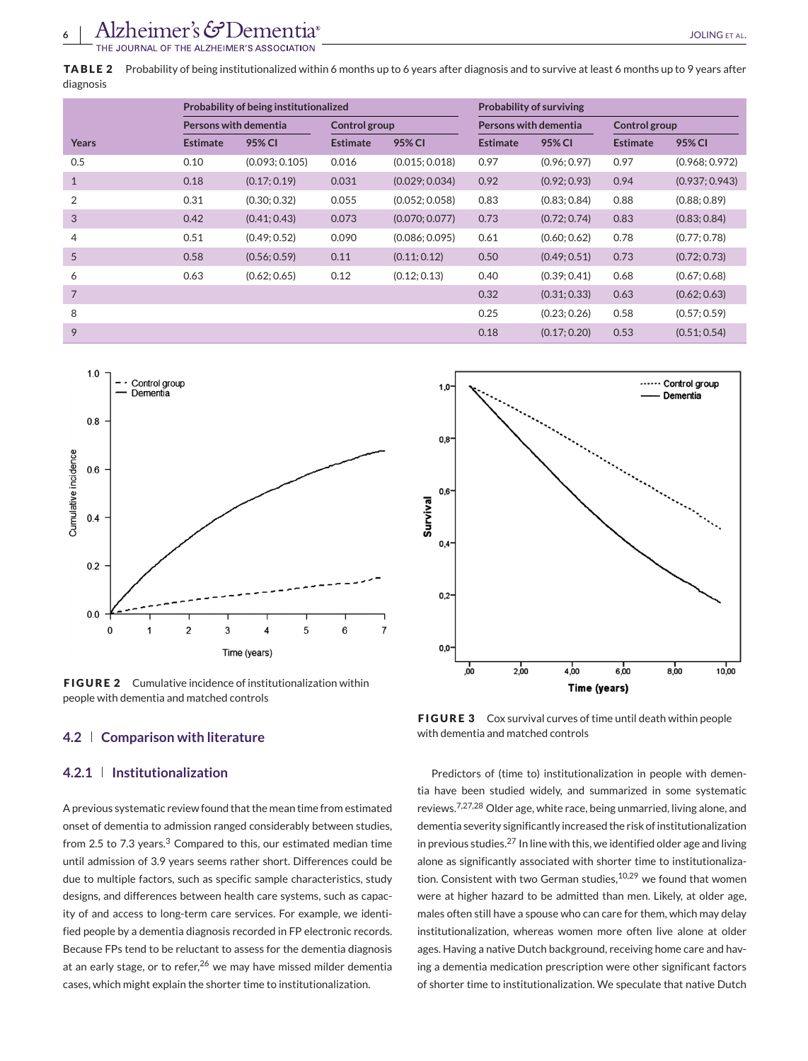**TABLE 2** Probability of being institutionalized within 6 months up to 6 years after diagnosis and to survive at least 6 months up to 9 years after diagnosis

|                |                       | Probability of being institutionalized |                 |                | <b>Probability of surviving</b> |              |                 |                |  |
|----------------|-----------------------|----------------------------------------|-----------------|----------------|---------------------------------|--------------|-----------------|----------------|--|
|                | Persons with dementia |                                        | Control group   |                | Persons with dementia           |              | Control group   |                |  |
| Years          | <b>Estimate</b>       | 95% CI                                 | <b>Estimate</b> | 95% CI         | <b>Estimate</b>                 | 95% CI       | <b>Estimate</b> | 95% CI         |  |
| 0.5            | 0.10                  | (0.093; 0.105)                         | 0.016           | (0.015:0.018)  | 0.97                            | (0.96; 0.97) | 0.97            | (0.968; 0.972) |  |
| $\mathbf{1}$   | 0.18                  | (0.17; 0.19)                           | 0.031           | (0.029; 0.034) | 0.92                            | (0.92; 0.93) | 0.94            | (0.937; 0.943) |  |
| 2              | 0.31                  | (0.30; 0.32)                           | 0.055           | (0.052; 0.058) | 0.83                            | (0.83; 0.84) | 0.88            | (0.88; 0.89)   |  |
| $\overline{3}$ | 0.42                  | (0.41; 0.43)                           | 0.073           | (0.070; 0.077) | 0.73                            | (0.72; 0.74) | 0.83            | (0.83; 0.84)   |  |
| $\overline{4}$ | 0.51                  | (0.49; 0.52)                           | 0.090           | (0.086; 0.095) | 0.61                            | (0.60; 0.62) | 0.78            | (0.77; 0.78)   |  |
| 5              | 0.58                  | (0.56; 0.59)                           | 0.11            | (0.11; 0.12)   | 0.50                            | (0.49; 0.51) | 0.73            | (0.72; 0.73)   |  |
| 6              | 0.63                  | (0.62; 0.65)                           | 0.12            | (0.12; 0.13)   | 0.40                            | (0.39; 0.41) | 0.68            | (0.67; 0.68)   |  |
| $\overline{7}$ |                       |                                        |                 |                | 0.32                            | (0.31; 0.33) | 0.63            | (0.62; 0.63)   |  |
| 8              |                       |                                        |                 |                | 0.25                            | (0.23:0.26)  | 0.58            | (0.57; 0.59)   |  |
| 9              |                       |                                        |                 |                | 0.18                            | (0.17; 0.20) | 0.53            | (0.51; 0.54)   |  |



**FIGURE 2** Cumulative incidence of institutionalization within people with dementia and matched controls

#### **4.2 Comparison with literature**

#### **4.2.1 Institutionalization**

A previous systematic review found that the mean time from estimated onset of dementia to admission ranged considerably between studies, from 2.5 to 7.3 years.<sup>3</sup> Compared to this, our estimated median time until admission of 3.9 years seems rather short. Differences could be due to multiple factors, such as specific sample characteristics, study designs, and differences between health care systems, such as capacity of and access to long-term care services. For example, we identified people by a dementia diagnosis recorded in FP electronic records. Because FPs tend to be reluctant to assess for the dementia diagnosis at an early stage, or to refer, $26$  we may have missed milder dementia cases, which might explain the shorter time to institutionalization.



**FIGURE 3** Cox survival curves of time until death within people with dementia and matched controls

Predictors of (time to) institutionalization in people with dementia have been studied widely, and summarized in some systematic reviews.7,27,28 Older age, white race, being unmarried, living alone, and dementia severity significantly increased the risk of institutionalization in previous studies.<sup>27</sup> In line with this, we identified older age and living alone as significantly associated with shorter time to institutionalization. Consistent with two German studies, <sup>10,29</sup> we found that women were at higher hazard to be admitted than men. Likely, at older age, males often still have a spouse who can care for them, which may delay institutionalization, whereas women more often live alone at older ages. Having a native Dutch background, receiving home care and having a dementia medication prescription were other significant factors of shorter time to institutionalization. We speculate that native Dutch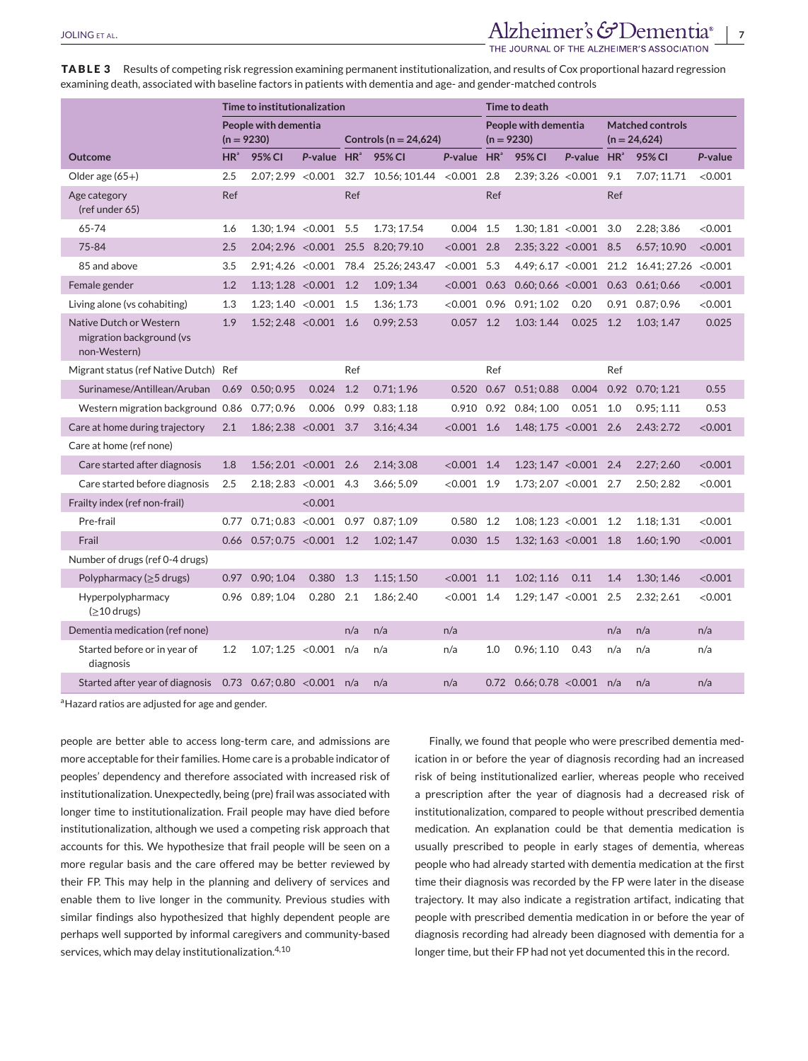## JOLING ET AL. *Alzheimer's*  $G$ Dementia<sup>®</sup> | 7

THE JOURNAL OF THE ALZHEIMER'S ASSOCIATION

**TABLE 3** Results of competing risk regression examining permanent institutionalization, and results of Cox proportional hazard regression examining death, associated with baseline factors in patients with dementia and age- and gender-matched controls

|                                                                     | Time to institutionalization |                                       |                         | <b>Time to death</b>      |                                       |                                      |      |                                           |                         |      |                                        |         |
|---------------------------------------------------------------------|------------------------------|---------------------------------------|-------------------------|---------------------------|---------------------------------------|--------------------------------------|------|-------------------------------------------|-------------------------|------|----------------------------------------|---------|
|                                                                     | $(n = 9230)$                 | People with dementia                  |                         | Controls ( $n = 24,624$ ) |                                       | People with dementia<br>$(n = 9230)$ |      | <b>Matched controls</b><br>$(n = 24,624)$ |                         |      |                                        |         |
| <b>Outcome</b>                                                      | $HR^{\circ}$                 | 95% CI                                | P-value HR <sup>ª</sup> |                           | 95% CI                                | P-value HR <sup>ª</sup>              |      | 95% CI                                    | P-value HR <sup>®</sup> |      | 95% CI                                 | P-value |
| Older age $(65+)$                                                   | 2.5                          | 2.07:2.99 < 0.001                     |                         | 32.7                      | 10.56; 101.44                         | < 0.001                              | 2.8  | 2.39:3.26 < 0.001                         |                         | 9.1  | 7.07; 11.71                            | < 0.001 |
| Age category<br>(ref under 65)                                      | Ref                          |                                       |                         | Ref                       |                                       |                                      | Ref  |                                           |                         | Ref  |                                        |         |
| 65-74                                                               | 1.6                          | $1.30:1.94 < 0.001$ 5.5               |                         |                           | 1.73: 17.54                           | 0.004                                | 1.5  | 1.30:1.81 < 0.001                         |                         | 3.0  | 2.28: 3.86                             | < 0.001 |
| 75-84                                                               | 2.5                          | 2.04; 2.96 < 0.001                    |                         | 25.5                      | 8.20; 79.10                           | < 0.001                              | 2.8  | $2.35; 3.22 < 0.001$ 8.5                  |                         |      | 6.57; 10.90                            | < 0.001 |
| 85 and above                                                        | 3.5                          |                                       |                         |                           | 2.91; 4.26 < 0.001 78.4 25.26; 243.47 | $< 0.001$ 5.3                        |      |                                           |                         |      | $4.49; 6.17 < 0.001$ 21.2 16.41; 27.26 | < 0.001 |
| Female gender                                                       | 1.2                          | $1.13; 1.28 < 0.001$ 1.2              |                         |                           | 1.09; 1.34                            | $< 0.001$ 0.63                       |      |                                           |                         |      | $0.60; 0.66 < 0.001$ 0.63 0.61; 0.66   | < 0.001 |
| Living alone (vs cohabiting)                                        | 1.3                          | 1.23; 1.40 < 0.001                    |                         | 1.5                       | 1.36; 1.73                            |                                      |      | $< 0.001$ 0.96 0.91; 1.02                 | 0.20                    |      | 0.91 0.87; 0.96                        | < 0.001 |
| Native Dutch or Western<br>migration background (vs<br>non-Western) | 1.9                          | $1.52; 2.48 < 0.001$ 1.6              |                         |                           | 0.99; 2.53                            | $0.057$ 1.2                          |      | 1.03: 1.44                                | 0.025                   | 1.2  | 1.03; 1.47                             | 0.025   |
| Migrant status (ref Native Dutch) Ref                               |                              |                                       |                         | Ref                       |                                       |                                      | Ref  |                                           |                         | Ref  |                                        |         |
| Surinamese/Antillean/Aruban                                         | 0.69                         | 0.50:0.95                             | 0.024                   | 1.2                       | 0.71:1.96                             | 0.520                                | 0.67 | 0.51:0.88                                 | 0.004                   | 0.92 | 0.70; 1.21                             | 0.55    |
| Western migration background 0.86 0.77; 0.96                        |                              |                                       | 0.006                   | 0.99                      | 0.83:1.18                             |                                      |      | 0.910 0.92 0.84; 1.00                     | $0.051$ 1.0             |      | 0.95; 1.11                             | 0.53    |
| Care at home during trajectory                                      | 2.1                          | $1.86; 2.38 < 0.001$ 3.7              |                         |                           | 3.16; 4.34                            | $< 0.001$ 1.6                        |      | $1.48; 1.75 < 0.001$ 2.6                  |                         |      | 2.43:2.72                              | < 0.001 |
| Care at home (ref none)                                             |                              |                                       |                         |                           |                                       |                                      |      |                                           |                         |      |                                        |         |
| Care started after diagnosis                                        | 1.8                          | 1.56; 2.01 < 0.001                    |                         | 2.6                       | 2.14; 3.08                            | $< 0.001$ 1.4                        |      | $1.23; 1.47 < 0.001$ 2.4                  |                         |      | 2.27:2.60                              | < 0.001 |
| Care started before diagnosis                                       | 2.5                          | $2.18; 2.83 < 0.001$ 4.3              |                         |                           | 3.66; 5.09                            | $< 0.001$ 1.9                        |      | $1.73:2.07 < 0.001$ 2.7                   |                         |      | 2.50; 2.82                             | < 0.001 |
| Frailty index (ref non-frail)                                       |                              |                                       | < 0.001                 |                           |                                       |                                      |      |                                           |                         |      |                                        |         |
| Pre-frail                                                           | 0.77                         | $0.71:0.83$ < $0.001$ 0.97 0.87: 1.09 |                         |                           |                                       | 0.580                                | 1.2  | $1.08; 1.23 < 0.001$ 1.2                  |                         |      | 1.18; 1.31                             | < 0.001 |
| Frail                                                               | 0.66                         | 0.57; 0.75 < 0.001                    |                         | 1.2                       | 1.02; 1.47                            | 0.030                                | 1.5  | 1.32; 1.63 < 0.001                        |                         | 1.8  | 1.60; 1.90                             | < 0.001 |
| Number of drugs (ref 0-4 drugs)                                     |                              |                                       |                         |                           |                                       |                                      |      |                                           |                         |      |                                        |         |
| Polypharmacy ( $\geq$ 5 drugs)                                      | 0.97                         | 0.90; 1.04                            | 0.380                   | 1.3                       | 1.15; 1.50                            | < 0.001                              | 1.1  | 1.02; 1.16                                | 0.11                    | 1.4  | 1.30; 1.46                             | < 0.001 |
| Hyperpolypharmacy<br>$(≥10$ drugs)                                  |                              | $0.96$ $0.89:1.04$                    | 0.280                   | 2.1                       | 1.86: 2.40                            | $< 0.001$ 1.4                        |      | 1.29:1.47 < 0.001                         |                         | 2.5  | 2.32:2.61                              | < 0.001 |
| Dementia medication (ref none)                                      |                              |                                       |                         | n/a                       | n/a                                   | n/a                                  |      |                                           |                         | n/a  | n/a                                    | n/a     |
| Started before or in year of<br>diagnosis                           | 1.2                          | 1.07; 1.25 < 0.001                    |                         | n/a                       | n/a                                   | n/a                                  | 1.0  | 0.96; 1.10                                | 0.43                    | n/a  | n/a                                    | n/a     |
| Started after year of diagnosis                                     |                              | 0.73 0.67; 0.80 < 0.001 $n/a$         |                         |                           | n/a                                   | n/a                                  | 0.72 | $0.66; 0.78 < 0.001$ n/a                  |                         |      | n/a                                    | n/a     |

<sup>a</sup> Hazard ratios are adjusted for age and gender.

people are better able to access long-term care, and admissions are more acceptable for their families. Home care is a probable indicator of peoples' dependency and therefore associated with increased risk of institutionalization. Unexpectedly, being (pre) frail was associated with longer time to institutionalization. Frail people may have died before institutionalization, although we used a competing risk approach that accounts for this. We hypothesize that frail people will be seen on a more regular basis and the care offered may be better reviewed by their FP. This may help in the planning and delivery of services and enable them to live longer in the community. Previous studies with similar findings also hypothesized that highly dependent people are perhaps well supported by informal caregivers and community-based services, which may delay institutionalization.<sup>4,10</sup>

Finally, we found that people who were prescribed dementia medication in or before the year of diagnosis recording had an increased risk of being institutionalized earlier, whereas people who received a prescription after the year of diagnosis had a decreased risk of institutionalization, compared to people without prescribed dementia medication. An explanation could be that dementia medication is usually prescribed to people in early stages of dementia, whereas people who had already started with dementia medication at the first time their diagnosis was recorded by the FP were later in the disease trajectory. It may also indicate a registration artifact, indicating that people with prescribed dementia medication in or before the year of diagnosis recording had already been diagnosed with dementia for a longer time, but their FP had not yet documented this in the record.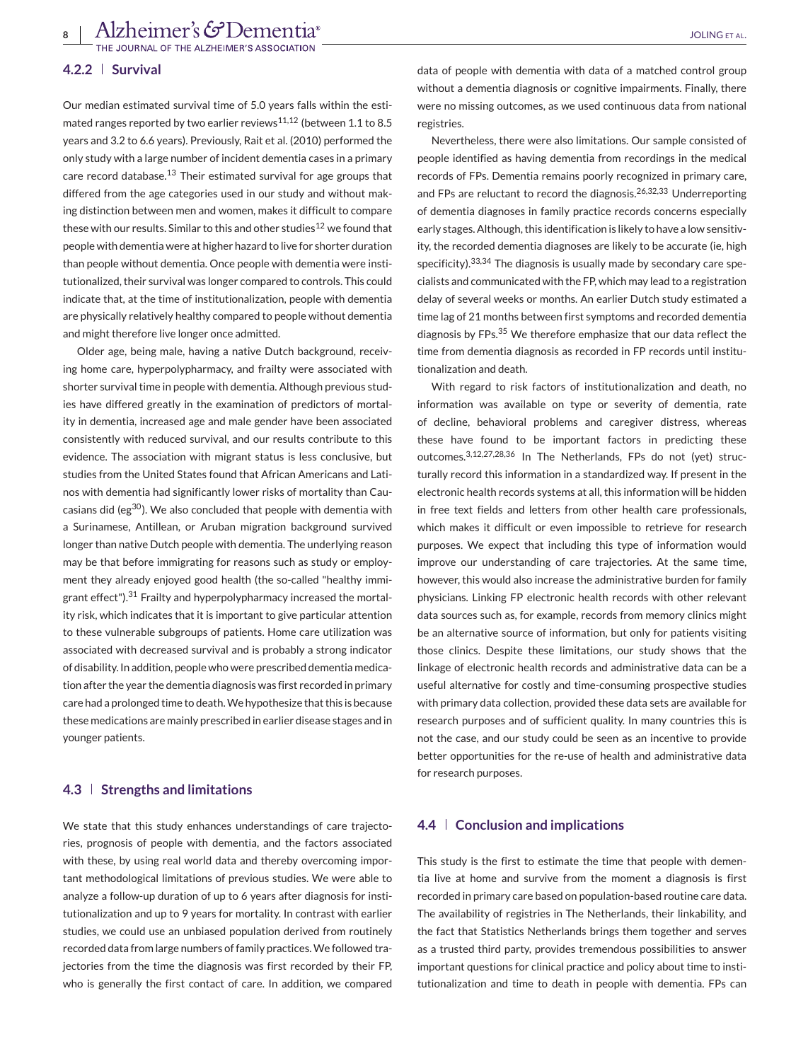**8** Alzheimer's GDementia<sup>®</sup><br>THE JOURNAL OF THE ALZHEIMER'S ASSOCIATION

#### **4.2.2 Survival**

Our median estimated survival time of 5.0 years falls within the estimated ranges reported by two earlier reviews<sup>11,12</sup> (between 1.1 to 8.5 years and 3.2 to 6.6 years). Previously, Rait et al. (2010) performed the only study with a large number of incident dementia cases in a primary care record database.<sup>13</sup> Their estimated survival for age groups that differed from the age categories used in our study and without making distinction between men and women, makes it difficult to compare these with our results. Similar to this and other studies $^{12}$  we found that people with dementia were at higher hazard to live for shorter duration than people without dementia. Once people with dementia were institutionalized, their survival was longer compared to controls. This could indicate that, at the time of institutionalization, people with dementia are physically relatively healthy compared to people without dementia and might therefore live longer once admitted.

Older age, being male, having a native Dutch background, receiving home care, hyperpolypharmacy, and frailty were associated with shorter survival time in people with dementia. Although previous studies have differed greatly in the examination of predictors of mortality in dementia, increased age and male gender have been associated consistently with reduced survival, and our results contribute to this evidence. The association with migrant status is less conclusive, but studies from the United States found that African Americans and Latinos with dementia had significantly lower risks of mortality than Caucasians did (eg<sup>30</sup>). We also concluded that people with dementia with a Surinamese, Antillean, or Aruban migration background survived longer than native Dutch people with dementia. The underlying reason may be that before immigrating for reasons such as study or employment they already enjoyed good health (the so-called "healthy immigrant effect").<sup>31</sup> Frailty and hyperpolypharmacy increased the mortality risk, which indicates that it is important to give particular attention to these vulnerable subgroups of patients. Home care utilization was associated with decreased survival and is probably a strong indicator of disability. In addition, people who were prescribed dementia medication after the year the dementia diagnosis was first recorded in primary care had a prolonged time to death.We hypothesize that this is because these medications are mainly prescribed in earlier disease stages and in younger patients.

### **4.3 Strengths and limitations**

We state that this study enhances understandings of care trajectories, prognosis of people with dementia, and the factors associated with these, by using real world data and thereby overcoming important methodological limitations of previous studies. We were able to analyze a follow-up duration of up to 6 years after diagnosis for institutionalization and up to 9 years for mortality. In contrast with earlier studies, we could use an unbiased population derived from routinely recorded data from large numbers of family practices.We followed trajectories from the time the diagnosis was first recorded by their FP, who is generally the first contact of care. In addition, we compared data of people with dementia with data of a matched control group without a dementia diagnosis or cognitive impairments. Finally, there were no missing outcomes, as we used continuous data from national registries.

Nevertheless, there were also limitations. Our sample consisted of people identified as having dementia from recordings in the medical records of FPs. Dementia remains poorly recognized in primary care, and FPs are reluctant to record the diagnosis.<sup>26,32,33</sup> Underreporting of dementia diagnoses in family practice records concerns especially early stages. Although, this identification is likely to have a low sensitivity, the recorded dementia diagnoses are likely to be accurate (ie, high specificity).<sup>33,34</sup> The diagnosis is usually made by secondary care specialists and communicated with the FP, which may lead to a registration delay of several weeks or months. An earlier Dutch study estimated a time lag of 21 months between first symptoms and recorded dementia diagnosis by FPs.<sup>35</sup> We therefore emphasize that our data reflect the time from dementia diagnosis as recorded in FP records until institutionalization and death.

With regard to risk factors of institutionalization and death, no information was available on type or severity of dementia, rate of decline, behavioral problems and caregiver distress, whereas these have found to be important factors in predicting these outcomes.3,12,27,28,36 In The Netherlands, FPs do not (yet) structurally record this information in a standardized way. If present in the electronic health records systems at all, this information will be hidden in free text fields and letters from other health care professionals, which makes it difficult or even impossible to retrieve for research purposes. We expect that including this type of information would improve our understanding of care trajectories. At the same time, however, this would also increase the administrative burden for family physicians. Linking FP electronic health records with other relevant data sources such as, for example, records from memory clinics might be an alternative source of information, but only for patients visiting those clinics. Despite these limitations, our study shows that the linkage of electronic health records and administrative data can be a useful alternative for costly and time-consuming prospective studies with primary data collection, provided these data sets are available for research purposes and of sufficient quality. In many countries this is not the case, and our study could be seen as an incentive to provide better opportunities for the re-use of health and administrative data for research purposes.

#### **4.4 Conclusion and implications**

This study is the first to estimate the time that people with dementia live at home and survive from the moment a diagnosis is first recorded in primary care based on population-based routine care data. The availability of registries in The Netherlands, their linkability, and the fact that Statistics Netherlands brings them together and serves as a trusted third party, provides tremendous possibilities to answer important questions for clinical practice and policy about time to institutionalization and time to death in people with dementia. FPs can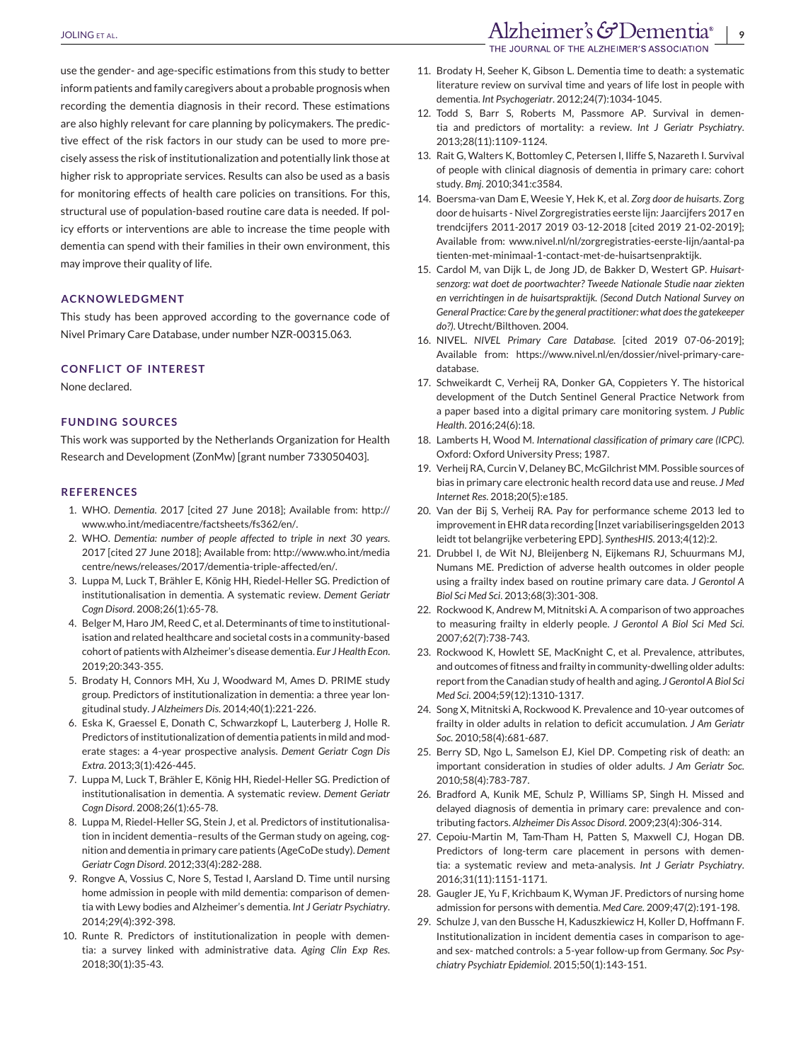use the gender- and age-specific estimations from this study to better inform patients and family caregivers about a probable prognosis when recording the dementia diagnosis in their record. These estimations are also highly relevant for care planning by policymakers. The predic-

tive effect of the risk factors in our study can be used to more precisely assess the risk of institutionalization and potentially link those at higher risk to appropriate services. Results can also be used as a basis for monitoring effects of health care policies on transitions. For this, structural use of population-based routine care data is needed. If policy efforts or interventions are able to increase the time people with dementia can spend with their families in their own environment, this may improve their quality of life.

#### **ACKNOWLEDGMENT**

This study has been approved according to the governance code of Nivel Primary Care Database, under number NZR-00315.063.

#### **CONFLICT OF INTEREST**

None declared.

#### **FUNDING SOURCES**

This work was supported by the Netherlands Organization for Health Research and Development (ZonMw) [grant number 733050403].

#### **REFERENCES**

- 1. WHO. *Dementia*. 2017 [cited 27 June 2018]; Available from: [http://](http://www.who.int/mediacentre/factsheets/fs362/en/) [www.who.int/mediacentre/factsheets/fs362/en/.](http://www.who.int/mediacentre/factsheets/fs362/en/)
- 2. WHO. *Dementia: number of people affected to triple in next 30 years*. 2017 [cited 27 June 2018]; Available from: [http://www.who.int/media](http://www.who.int/mediacentre/news/releases/2017/dementia-triple-affected/en/) [centre/news/releases/2017/dementia-triple-affected/en/.](http://www.who.int/mediacentre/news/releases/2017/dementia-triple-affected/en/)
- 3. Luppa M, Luck T, Brähler E, König HH, Riedel-Heller SG. Prediction of institutionalisation in dementia. A systematic review. *Dement Geriatr Cogn Disord*. 2008;26(1):65-78.
- 4. Belger M, Haro JM, Reed C, et al. Determinants of time to institutionalisation and related healthcare and societal costs in a community-based cohort of patients with Alzheimer's disease dementia. *Eur J Health Econ*. 2019;20:343-355.
- 5. Brodaty H, Connors MH, Xu J, Woodward M, Ames D. PRIME study group. Predictors of institutionalization in dementia: a three year longitudinal study. *J Alzheimers Dis*. 2014;40(1):221-226.
- 6. Eska K, Graessel E, Donath C, Schwarzkopf L, Lauterberg J, Holle R. Predictors of institutionalization of dementia patients in mild and moderate stages: a 4-year prospective analysis. *Dement Geriatr Cogn Dis Extra*. 2013;3(1):426-445.
- 7. Luppa M, Luck T, Brähler E, König HH, Riedel-Heller SG. Prediction of institutionalisation in dementia. A systematic review. *Dement Geriatr Cogn Disord*. 2008;26(1):65-78.
- 8. Luppa M, Riedel-Heller SG, Stein J, et al. Predictors of institutionalisation in incident dementia–results of the German study on ageing, cognition and dementia in primary care patients (AgeCoDe study). *Dement Geriatr Cogn Disord*. 2012;33(4):282-288.
- 9. Rongve A, Vossius C, Nore S, Testad I, Aarsland D. Time until nursing home admission in people with mild dementia: comparison of dementia with Lewy bodies and Alzheimer's dementia. *Int J Geriatr Psychiatry*. 2014;29(4):392-398.
- 10. Runte R. Predictors of institutionalization in people with dementia: a survey linked with administrative data. *Aging Clin Exp Res*. 2018;30(1):35-43.

## JOLING ET AL. **Alzheimer's & Dementia**®

THE JOURNAL OF THE ALZHEIMER'S ASSOCIATION

- 11. Brodaty H, Seeher K, Gibson L. Dementia time to death: a systematic literature review on survival time and years of life lost in people with dementia. *Int Psychogeriatr*. 2012;24(7):1034-1045.
- 12. Todd S, Barr S, Roberts M, Passmore AP. Survival in dementia and predictors of mortality: a review. *Int J Geriatr Psychiatry*. 2013;28(11):1109-1124.
- 13. Rait G, Walters K, Bottomley C, Petersen I, Iliffe S, Nazareth I. Survival of people with clinical diagnosis of dementia in primary care: cohort study. *Bmj*. 2010;341:c3584.
- 14. Boersma-van Dam E, Weesie Y, Hek K, et al. *Zorg door de huisarts*. Zorg door de huisarts - Nivel Zorgregistraties eerste lijn: Jaarcijfers 2017 en trendcijfers 2011-2017 2019 03-12-2018 [cited 2019 21-02-2019]; Available from: [www.nivel.nl/nl/zorgregistraties-eerste-lijn/aantal-pa](http://www.nivel.nl/nl/zorgregistraties-eerste-lijn/aantal-patienten-met-minimaal-1-contact-met-de-huisartsenpraktijk) [tienten-met-minimaal-1-contact-met-de-huisartsenpraktijk.](http://www.nivel.nl/nl/zorgregistraties-eerste-lijn/aantal-patienten-met-minimaal-1-contact-met-de-huisartsenpraktijk)
- 15. Cardol M, van Dijk L, de Jong JD, de Bakker D, Westert GP. *Huisartsenzorg: wat doet de poortwachter? Tweede Nationale Studie naar ziekten en verrichtingen in de huisartspraktijk. (Second Dutch National Survey on General Practice: Care by the general practitioner: what does the gatekeeper do?)*. Utrecht/Bilthoven. 2004.
- 16. NIVEL. *NIVEL Primary Care Database*. [cited 2019 07-06-2019]; Available from: [https://www.nivel.nl/en/dossier/nivel-primary-care](https://www.nivel.nl/en/dossier/nivel-primary-care-database)[database.](https://www.nivel.nl/en/dossier/nivel-primary-care-database)
- 17. Schweikardt C, Verheij RA, Donker GA, Coppieters Y. The historical development of the Dutch Sentinel General Practice Network from a paper based into a digital primary care monitoring system. *J Public Health*. 2016;24(6):18.
- 18. Lamberts H, Wood M. *International classification of primary care (ICPC)*. Oxford: Oxford University Press; 1987.
- 19. Verheij RA, Curcin V, Delaney BC, McGilchrist MM. Possible sources of bias in primary care electronic health record data use and reuse. *J Med Internet Res*. 2018;20(5):e185.
- 20. Van der Bij S, Verheij RA. Pay for performance scheme 2013 led to improvement in EHR data recording [Inzet variabiliseringsgelden 2013 leidt tot belangrijke verbetering EPD]. *SynthesHIS*. 2013;4(12):2.
- 21. Drubbel I, de Wit NJ, Bleijenberg N, Eijkemans RJ, Schuurmans MJ, Numans ME. Prediction of adverse health outcomes in older people using a frailty index based on routine primary care data. *J Gerontol A Biol Sci Med Sci*. 2013;68(3):301-308.
- 22. Rockwood K, Andrew M, Mitnitski A. A comparison of two approaches to measuring frailty in elderly people. *J Gerontol A Biol Sci Med Sci*. 2007;62(7):738-743.
- 23. Rockwood K, Howlett SE, MacKnight C, et al. Prevalence, attributes, and outcomes of fitness and frailty in community-dwelling older adults: report from the Canadian study of health and aging. *J Gerontol A Biol Sci Med Sci*. 2004;59(12):1310-1317.
- 24. Song X, Mitnitski A, Rockwood K. Prevalence and 10-year outcomes of frailty in older adults in relation to deficit accumulation. *J Am Geriatr Soc*. 2010;58(4):681-687.
- 25. Berry SD, Ngo L, Samelson EJ, Kiel DP. Competing risk of death: an important consideration in studies of older adults. *J Am Geriatr Soc*. 2010;58(4):783-787.
- 26. Bradford A, Kunik ME, Schulz P, Williams SP, Singh H. Missed and delayed diagnosis of dementia in primary care: prevalence and contributing factors. *Alzheimer Dis Assoc Disord*. 2009;23(4):306-314.
- 27. Cepoiu-Martin M, Tam-Tham H, Patten S, Maxwell CJ, Hogan DB. Predictors of long-term care placement in persons with dementia: a systematic review and meta-analysis. *Int J Geriatr Psychiatry*. 2016;31(11):1151-1171.
- 28. Gaugler JE, Yu F, Krichbaum K, Wyman JF. Predictors of nursing home admission for persons with dementia. *Med Care*. 2009;47(2):191-198.
- 29. Schulze J, van den Bussche H, Kaduszkiewicz H, Koller D, Hoffmann F. Institutionalization in incident dementia cases in comparison to ageand sex- matched controls: a 5-year follow-up from Germany. *Soc Psychiatry Psychiatr Epidemiol*. 2015;50(1):143-151.